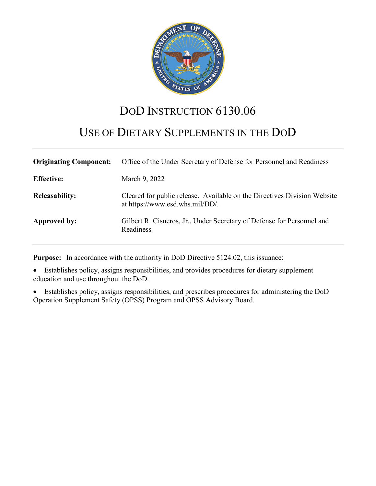

# DOD INSTRUCTION 6130.06

# USE OF DIETARY SUPPLEMENTS IN THE DOD

| <b>Originating Component:</b> | Office of the Under Secretary of Defense for Personnel and Readiness                                        |
|-------------------------------|-------------------------------------------------------------------------------------------------------------|
| <b>Effective:</b>             | March 9, 2022                                                                                               |
| <b>Releasability:</b>         | Cleared for public release. Available on the Directives Division Website<br>at https://www.esd.whs.mil/DD/. |
| Approved by:                  | Gilbert R. Cisneros, Jr., Under Secretary of Defense for Personnel and<br>Readiness                         |

**Purpose:** In accordance with the authority in DoD Directive 5124.02, this issuance:

• Establishes policy, assigns responsibilities, and provides procedures for dietary supplement education and use throughout the DoD.

• Establishes policy, assigns responsibilities, and prescribes procedures for administering the DoD Operation Supplement Safety (OPSS) Program and OPSS Advisory Board.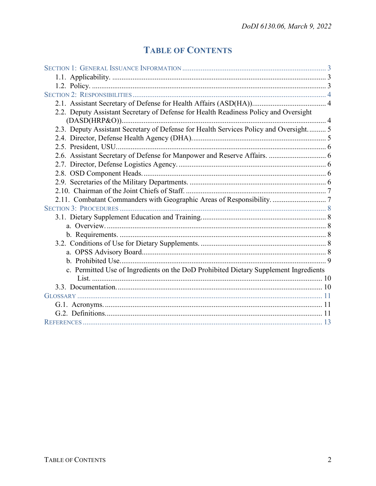# **TABLE OF CONTENTS**

| 2.2. Deputy Assistant Secretary of Defense for Health Readiness Policy and Oversight  |  |
|---------------------------------------------------------------------------------------|--|
|                                                                                       |  |
| 2.3. Deputy Assistant Secretary of Defense for Health Services Policy and Oversight 5 |  |
|                                                                                       |  |
|                                                                                       |  |
|                                                                                       |  |
|                                                                                       |  |
|                                                                                       |  |
|                                                                                       |  |
|                                                                                       |  |
| 2.11. Combatant Commanders with Geographic Areas of Responsibility.  7                |  |
|                                                                                       |  |
|                                                                                       |  |
|                                                                                       |  |
|                                                                                       |  |
|                                                                                       |  |
|                                                                                       |  |
|                                                                                       |  |
| c. Permitted Use of Ingredients on the DoD Prohibited Dietary Supplement Ingredients  |  |
|                                                                                       |  |
|                                                                                       |  |
|                                                                                       |  |
|                                                                                       |  |
|                                                                                       |  |
|                                                                                       |  |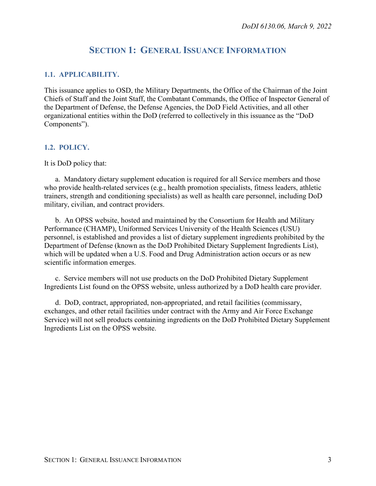# **SECTION 1: GENERAL ISSUANCE INFORMATION**

#### <span id="page-2-1"></span><span id="page-2-0"></span>**1.1. APPLICABILITY.**

This issuance applies to OSD, the Military Departments, the Office of the Chairman of the Joint Chiefs of Staff and the Joint Staff, the Combatant Commands, the Office of Inspector General of the Department of Defense, the Defense Agencies, the DoD Field Activities, and all other organizational entities within the DoD (referred to collectively in this issuance as the "DoD Components").

#### <span id="page-2-2"></span>**1.2. POLICY.**

It is DoD policy that:

a. Mandatory dietary supplement education is required for all Service members and those who provide health-related services (e.g., health promotion specialists, fitness leaders, athletic trainers, strength and conditioning specialists) as well as health care personnel, including DoD military, civilian, and contract providers.

b. An OPSS website, hosted and maintained by the Consortium for Health and Military Performance (CHAMP), Uniformed Services University of the Health Sciences (USU) personnel, is established and provides a list of dietary supplement ingredients prohibited by the Department of Defense (known as the DoD Prohibited Dietary Supplement Ingredients List), which will be updated when a U.S. Food and Drug Administration action occurs or as new scientific information emerges.

c. Service members will not use products on the DoD Prohibited Dietary Supplement Ingredients List found on the OPSS website, unless authorized by a DoD health care provider.

d. DoD, contract, appropriated, non-appropriated, and retail facilities (commissary, exchanges, and other retail facilities under contract with the Army and Air Force Exchange Service) will not sell products containing ingredients on the DoD Prohibited Dietary Supplement Ingredients List on the OPSS website.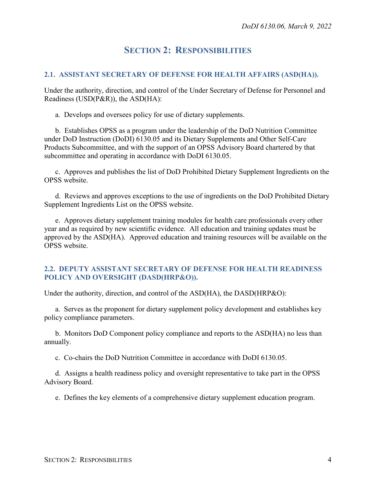# **SECTION 2: RESPONSIBILITIES**

#### <span id="page-3-1"></span><span id="page-3-0"></span>**2.1. ASSISTANT SECRETARY OF DEFENSE FOR HEALTH AFFAIRS (ASD(HA)).**

Under the authority, direction, and control of the Under Secretary of Defense for Personnel and Readiness (USD(P&R)), the ASD(HA):

a. Develops and oversees policy for use of dietary supplements.

b. Establishes OPSS as a program under the leadership of the DoD Nutrition Committee under DoD Instruction (DoDI) 6130.05 and its Dietary Supplements and Other Self-Care Products Subcommittee, and with the support of an OPSS Advisory Board chartered by that subcommittee and operating in accordance with DoDI 6130.05.

c. Approves and publishes the list of DoD Prohibited Dietary Supplement Ingredients on the OPSS website.

d. Reviews and approves exceptions to the use of ingredients on the DoD Prohibited Dietary Supplement Ingredients List on the OPSS website.

e. Approves dietary supplement training modules for health care professionals every other year and as required by new scientific evidence. All education and training updates must be approved by the ASD(HA). Approved education and training resources will be available on the OPSS website.

#### <span id="page-3-2"></span>**2.2. DEPUTY ASSISTANT SECRETARY OF DEFENSE FOR HEALTH READINESS POLICY AND OVERSIGHT (DASD(HRP&O)).**

Under the authority, direction, and control of the ASD(HA), the DASD(HRP&O):

a. Serves as the proponent for dietary supplement policy development and establishes key policy compliance parameters.

b. Monitors DoD Component policy compliance and reports to the ASD(HA) no less than annually.

c. Co-chairs the DoD Nutrition Committee in accordance with DoDI 6130.05.

d. Assigns a health readiness policy and oversight representative to take part in the OPSS Advisory Board.

e. Defines the key elements of a comprehensive dietary supplement education program.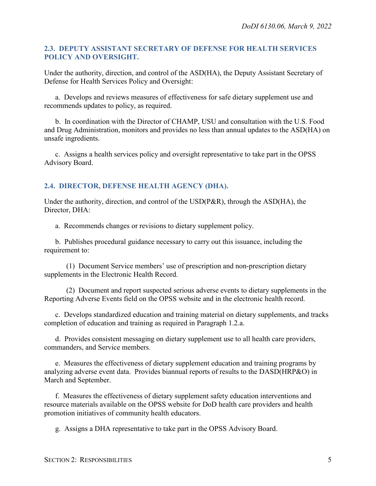#### <span id="page-4-0"></span>**2.3. DEPUTY ASSISTANT SECRETARY OF DEFENSE FOR HEALTH SERVICES POLICY AND OVERSIGHT.**

Under the authority, direction, and control of the ASD(HA), the Deputy Assistant Secretary of Defense for Health Services Policy and Oversight:

a. Develops and reviews measures of effectiveness for safe dietary supplement use and recommends updates to policy, as required.

b. In coordination with the Director of CHAMP, USU and consultation with the U.S. Food and Drug Administration, monitors and provides no less than annual updates to the ASD(HA) on unsafe ingredients.

c. Assigns a health services policy and oversight representative to take part in the OPSS Advisory Board.

## <span id="page-4-1"></span>**2.4. DIRECTOR, DEFENSE HEALTH AGENCY (DHA).**

Under the authority, direction, and control of the USD(P&R), through the ASD(HA), the Director, DHA:

a. Recommends changes or revisions to dietary supplement policy.

b. Publishes procedural guidance necessary to carry out this issuance, including the requirement to:

(1) Document Service members' use of prescription and non-prescription dietary supplements in the Electronic Health Record.

(2) Document and report suspected serious adverse events to dietary supplements in the Reporting Adverse Events field on the OPSS website and in the electronic health record.

c. Develops standardized education and training material on dietary supplements, and tracks completion of education and training as required in Paragraph 1.2.a.

d. Provides consistent messaging on dietary supplement use to all health care providers, commanders, and Service members.

e. Measures the effectiveness of dietary supplement education and training programs by analyzing adverse event data. Provides biannual reports of results to the DASD(HRP&O) in March and September.

f. Measures the effectiveness of dietary supplement safety education interventions and resource materials available on the OPSS website for DoD health care providers and health promotion initiatives of community health educators.

g. Assigns a DHA representative to take part in the OPSS Advisory Board.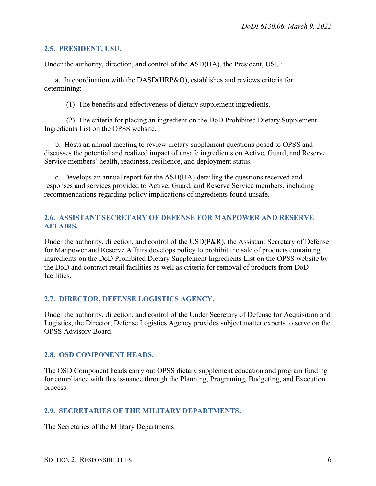#### <span id="page-5-0"></span>**2.5. PRESIDENT, USU.**

Under the authority, direction, and control of the ASD(HA), the President, USU:

a. In coordination with the DASD(HRP&O), establishes and reviews criteria for determining:

(1) The benefits and effectiveness of dietary supplement ingredients.

(2) The criteria for placing an ingredient on the DoD Prohibited Dietary Supplement Ingredients List on the OPSS website.

b. Hosts an annual meeting to review dietary supplement questions posed to OPSS and discusses the potential and realized impact of unsafe ingredients on Active, Guard, and Reserve Service members' health, readiness, resilience, and deployment status.

c. Develops an annual report for the ASD(HA) detailing the questions received and responses and services provided to Active, Guard, and Reserve Service members, including recommendations regarding policy implications of ingredients found unsafe.

## <span id="page-5-1"></span>**2.6. ASSISTANT SECRETARY OF DEFENSE FOR MANPOWER AND RESERVE AFFAIRS.**

Under the authority, direction, and control of the USD(P&R), the Assistant Secretary of Defense for Manpower and Reserve Affairs develops policy to prohibit the sale of products containing ingredients on the DoD Prohibited Dietary Supplement Ingredients List on the OPSS website by the DoD and contract retail facilities as well as criteria for removal of products from DoD facilities.

## <span id="page-5-2"></span>**2.7. DIRECTOR, DEFENSE LOGISTICS AGENCY.**

Under the authority, direction, and control of the Under Secretary of Defense for Acquisition and Logistics, the Director, Defense Logistics Agency provides subject matter experts to serve on the OPSS Advisory Board.

#### <span id="page-5-3"></span>**2.8. OSD COMPONENT HEADS.**

The OSD Component heads carry out OPSS dietary supplement education and program funding for compliance with this issuance through the Planning, Programing, Budgeting, and Execution process.

## <span id="page-5-4"></span>**2.9. SECRETARIES OF THE MILITARY DEPARTMENTS.**

The Secretaries of the Military Departments: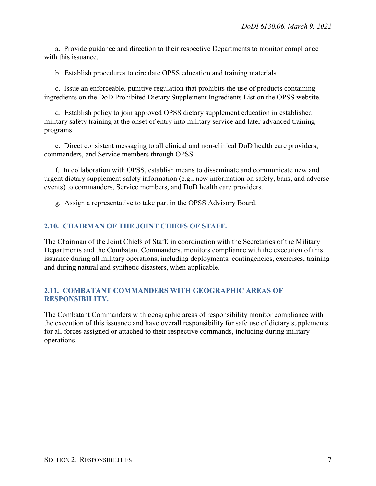a. Provide guidance and direction to their respective Departments to monitor compliance with this issuance.

b. Establish procedures to circulate OPSS education and training materials.

c. Issue an enforceable, punitive regulation that prohibits the use of products containing ingredients on the DoD Prohibited Dietary Supplement Ingredients List on the OPSS website.

d. Establish policy to join approved OPSS dietary supplement education in established military safety training at the onset of entry into military service and later advanced training programs.

e. Direct consistent messaging to all clinical and non-clinical DoD health care providers, commanders, and Service members through OPSS.

f. In collaboration with OPSS, establish means to disseminate and communicate new and urgent dietary supplement safety information (e.g., new information on safety, bans, and adverse events) to commanders, Service members, and DoD health care providers.

g. Assign a representative to take part in the OPSS Advisory Board.

#### <span id="page-6-0"></span>**2.10. CHAIRMAN OF THE JOINT CHIEFS OF STAFF.**

The Chairman of the Joint Chiefs of Staff, in coordination with the Secretaries of the Military Departments and the Combatant Commanders, monitors compliance with the execution of this issuance during all military operations, including deployments, contingencies, exercises, training and during natural and synthetic disasters, when applicable.

#### <span id="page-6-1"></span>**2.11. COMBATANT COMMANDERS WITH GEOGRAPHIC AREAS OF RESPONSIBILITY.**

The Combatant Commanders with geographic areas of responsibility monitor compliance with the execution of this issuance and have overall responsibility for safe use of dietary supplements for all forces assigned or attached to their respective commands, including during military operations.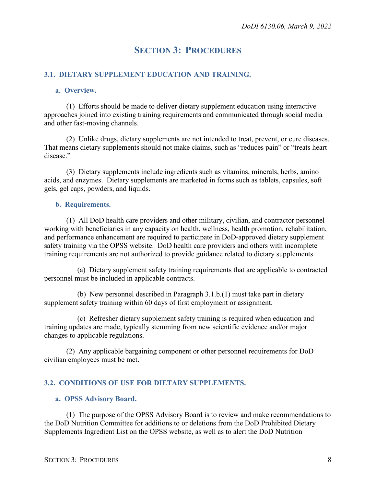# **SECTION 3: PROCEDURES**

### <span id="page-7-1"></span><span id="page-7-0"></span>**3.1. DIETARY SUPPLEMENT EDUCATION AND TRAINING.**

#### <span id="page-7-2"></span>**a. Overview.**

(1) Efforts should be made to deliver dietary supplement education using interactive approaches joined into existing training requirements and communicated through social media and other fast-moving channels.

(2) Unlike drugs, dietary supplements are not intended to treat, prevent, or cure diseases. That means dietary supplements should not make claims, such as "reduces pain" or "treats heart disease."

(3) Dietary supplements include ingredients such as vitamins, minerals, herbs, amino acids, and enzymes. Dietary supplements are marketed in forms such as tablets, capsules, soft gels, gel caps, powders, and liquids.

#### <span id="page-7-3"></span>**b. Requirements.**

(1) All DoD health care providers and other military, civilian, and contractor personnel working with beneficiaries in any capacity on health, wellness, health promotion, rehabilitation, and performance enhancement are required to participate in DoD-approved dietary supplement safety training via the OPSS website. DoD health care providers and others with incomplete training requirements are not authorized to provide guidance related to dietary supplements.

(a) Dietary supplement safety training requirements that are applicable to contracted personnel must be included in applicable contracts.

(b) New personnel described in Paragraph 3.1.b.(1) must take part in dietary supplement safety training within 60 days of first employment or assignment.

(c) Refresher dietary supplement safety training is required when education and training updates are made, typically stemming from new scientific evidence and/or major changes to applicable regulations.

(2) Any applicable bargaining component or other personnel requirements for DoD civilian employees must be met.

## <span id="page-7-4"></span>**3.2. CONDITIONS OF USE FOR DIETARY SUPPLEMENTS.**

#### <span id="page-7-5"></span>**a. OPSS Advisory Board.**

(1) The purpose of the OPSS Advisory Board is to review and make recommendations to the DoD Nutrition Committee for additions to or deletions from the DoD Prohibited Dietary Supplements Ingredient List on the OPSS website, as well as to alert the DoD Nutrition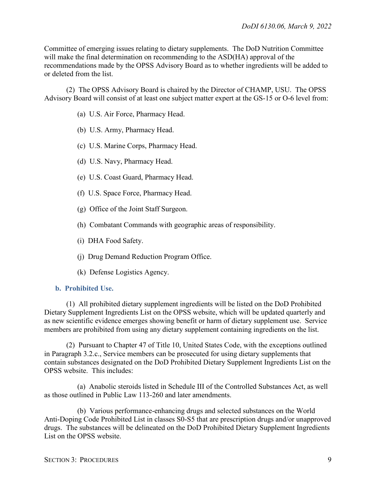Committee of emerging issues relating to dietary supplements. The DoD Nutrition Committee will make the final determination on recommending to the ASD(HA) approval of the recommendations made by the OPSS Advisory Board as to whether ingredients will be added to or deleted from the list.

(2) The OPSS Advisory Board is chaired by the Director of CHAMP, USU. The OPSS Advisory Board will consist of at least one subject matter expert at the GS-15 or O-6 level from:

- (a) U.S. Air Force, Pharmacy Head.
- (b) U.S. Army, Pharmacy Head.
- (c) U.S. Marine Corps, Pharmacy Head.
- (d) U.S. Navy, Pharmacy Head.
- (e) U.S. Coast Guard, Pharmacy Head.
- (f) U.S. Space Force, Pharmacy Head.
- (g) Office of the Joint Staff Surgeon.
- (h) Combatant Commands with geographic areas of responsibility.
- (i) DHA Food Safety.
- (j) Drug Demand Reduction Program Office.
- (k) Defense Logistics Agency.

#### <span id="page-8-0"></span>**b. Prohibited Use.**

(1) All prohibited dietary supplement ingredients will be listed on the DoD Prohibited Dietary Supplement Ingredients List on the OPSS website, which will be updated quarterly and as new scientific evidence emerges showing benefit or harm of dietary supplement use. Service members are prohibited from using any dietary supplement containing ingredients on the list.

(2) Pursuant to Chapter 47 of Title 10, United States Code, with the exceptions outlined in Paragraph 3.2.c., Service members can be prosecuted for using dietary supplements that contain substances designated on the DoD Prohibited Dietary Supplement Ingredients List on the OPSS website. This includes:

(a) Anabolic steroids listed in Schedule III of the Controlled Substances Act, as well as those outlined in Public Law 113-260 and later amendments.

(b) Various performance-enhancing drugs and selected substances on the World Anti-Doping Code Prohibited List in classes S0-S5 that are prescription drugs and/or unapproved drugs. The substances will be delineated on the DoD Prohibited Dietary Supplement Ingredients List on the OPSS website.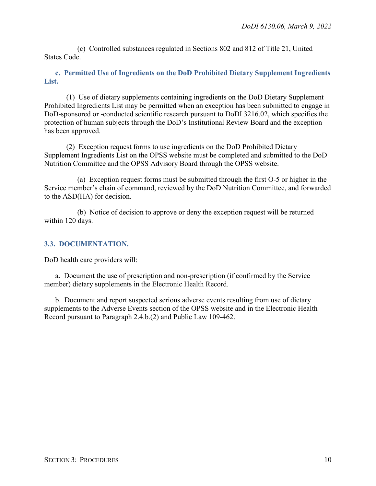(c) Controlled substances regulated in Sections 802 and 812 of Title 21, United States Code.

<span id="page-9-0"></span>**c. Permitted Use of Ingredients on the DoD Prohibited Dietary Supplement Ingredients List.** 

(1) Use of dietary supplements containing ingredients on the DoD Dietary Supplement Prohibited Ingredients List may be permitted when an exception has been submitted to engage in DoD-sponsored or -conducted scientific research pursuant to DoDI 3216.02, which specifies the protection of human subjects through the DoD's Institutional Review Board and the exception has been approved.

(2) Exception request forms to use ingredients on the DoD Prohibited Dietary Supplement Ingredients List on the OPSS website must be completed and submitted to the DoD Nutrition Committee and the OPSS Advisory Board through the OPSS website.

(a) Exception request forms must be submitted through the first O-5 or higher in the Service member's chain of command, reviewed by the DoD Nutrition Committee, and forwarded to the ASD(HA) for decision.

(b) Notice of decision to approve or deny the exception request will be returned within 120 days.

#### <span id="page-9-1"></span>**3.3. DOCUMENTATION.**

DoD health care providers will:

a. Document the use of prescription and non-prescription (if confirmed by the Service member) dietary supplements in the Electronic Health Record.

b. Document and report suspected serious adverse events resulting from use of dietary supplements to the Adverse Events section of the OPSS website and in the Electronic Health Record pursuant to Paragraph 2.4.b.(2) and Public Law 109-462.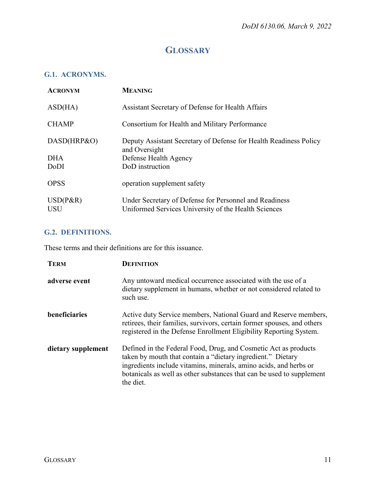# **GLOSSARY**

## <span id="page-10-1"></span><span id="page-10-0"></span>**G.1. ACRONYMS.**

| <b>ACRONYM</b>            | <b>MEANING</b>                                                                                                 |
|---------------------------|----------------------------------------------------------------------------------------------------------------|
| ASD(HA)                   | Assistant Secretary of Defense for Health Affairs                                                              |
| <b>CHAMP</b>              | Consortium for Health and Military Performance                                                                 |
| DASD(HRP&O)               | Deputy Assistant Secretary of Defense for Health Readiness Policy<br>and Oversight                             |
| <b>DHA</b>                | Defense Health Agency                                                                                          |
| DoDI                      | DoD instruction                                                                                                |
| <b>OPSS</b>               | operation supplement safety                                                                                    |
| $USD(P\&R)$<br><b>USU</b> | Under Secretary of Defense for Personnel and Readiness<br>Uniformed Services University of the Health Sciences |

## <span id="page-10-2"></span>**G.2. DEFINITIONS.**

These terms and their definitions are for this issuance.

| <b>TERM</b>        | <b>DEFINITION</b>                                                                                                                                                                                                                                                                         |
|--------------------|-------------------------------------------------------------------------------------------------------------------------------------------------------------------------------------------------------------------------------------------------------------------------------------------|
| adverse event      | Any untoward medical occurrence associated with the use of a<br>dietary supplement in humans, whether or not considered related to<br>such use.                                                                                                                                           |
| beneficiaries      | Active duty Service members, National Guard and Reserve members,<br>retirees, their families, survivors, certain former spouses, and others<br>registered in the Defense Enrollment Eligibility Reporting System.                                                                         |
| dietary supplement | Defined in the Federal Food, Drug, and Cosmetic Act as products<br>taken by mouth that contain a "dietary ingredient." Dietary<br>ingredients include vitamins, minerals, amino acids, and herbs or<br>botanicals as well as other substances that can be used to supplement<br>the diet. |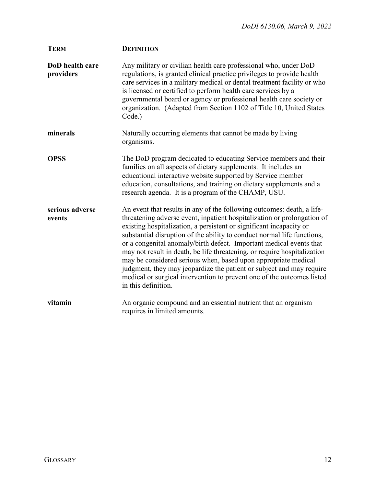| <b>TERM</b>                  | <b>DEFINITION</b>                                                                                                                                                                                                                                                                                                                                                                                                                                                                                                                                                                                                                                                                                 |
|------------------------------|---------------------------------------------------------------------------------------------------------------------------------------------------------------------------------------------------------------------------------------------------------------------------------------------------------------------------------------------------------------------------------------------------------------------------------------------------------------------------------------------------------------------------------------------------------------------------------------------------------------------------------------------------------------------------------------------------|
| DoD health care<br>providers | Any military or civilian health care professional who, under DoD<br>regulations, is granted clinical practice privileges to provide health<br>care services in a military medical or dental treatment facility or who<br>is licensed or certified to perform health care services by a<br>governmental board or agency or professional health care society or<br>organization. (Adapted from Section 1102 of Title 10, United States<br>Code.)                                                                                                                                                                                                                                                    |
| minerals                     | Naturally occurring elements that cannot be made by living<br>organisms.                                                                                                                                                                                                                                                                                                                                                                                                                                                                                                                                                                                                                          |
| <b>OPSS</b>                  | The DoD program dedicated to educating Service members and their<br>families on all aspects of dietary supplements. It includes an<br>educational interactive website supported by Service member<br>education, consultations, and training on dietary supplements and a<br>research agenda. It is a program of the CHAMP, USU.                                                                                                                                                                                                                                                                                                                                                                   |
| serious adverse<br>events    | An event that results in any of the following outcomes: death, a life-<br>threatening adverse event, inpatient hospitalization or prolongation of<br>existing hospitalization, a persistent or significant incapacity or<br>substantial disruption of the ability to conduct normal life functions,<br>or a congenital anomaly/birth defect. Important medical events that<br>may not result in death, be life threatening, or require hospitalization<br>may be considered serious when, based upon appropriate medical<br>judgment, they may jeopardize the patient or subject and may require<br>medical or surgical intervention to prevent one of the outcomes listed<br>in this definition. |
| vitamin                      | An organic compound and an essential nutrient that an organism<br>requires in limited amounts.                                                                                                                                                                                                                                                                                                                                                                                                                                                                                                                                                                                                    |